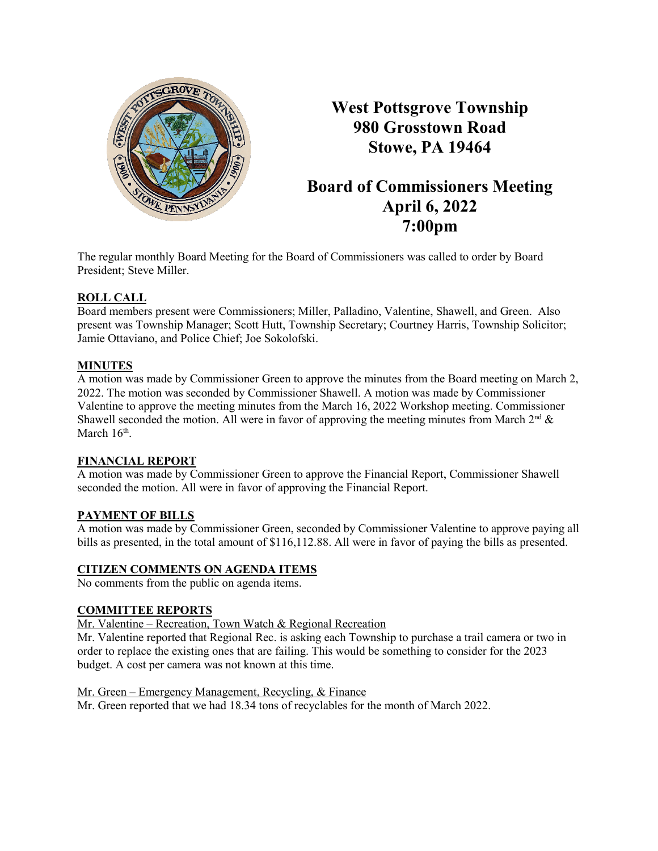

**West Pottsgrove Township 980 Grosstown Road Stowe, PA 19464**

# **Board of Commissioners Meeting April 6, 2022 7:00pm**

The regular monthly Board Meeting for the Board of Commissioners was called to order by Board President; Steve Miller.

## **ROLL CALL**

Board members present were Commissioners; Miller, Palladino, Valentine, Shawell, and Green. Also present was Township Manager; Scott Hutt, Township Secretary; Courtney Harris, Township Solicitor; Jamie Ottaviano, and Police Chief; Joe Sokolofski.

## **MINUTES**

A motion was made by Commissioner Green to approve the minutes from the Board meeting on March 2, 2022. The motion was seconded by Commissioner Shawell. A motion was made by Commissioner Valentine to approve the meeting minutes from the March 16, 2022 Workshop meeting. Commissioner Shawell seconded the motion. All were in favor of approving the meeting minutes from March  $2<sup>nd</sup>$  & March  $16<sup>th</sup>$ .

## **FINANCIAL REPORT**

A motion was made by Commissioner Green to approve the Financial Report, Commissioner Shawell seconded the motion. All were in favor of approving the Financial Report.

## **PAYMENT OF BILLS**

A motion was made by Commissioner Green, seconded by Commissioner Valentine to approve paying all bills as presented, in the total amount of \$116,112.88. All were in favor of paying the bills as presented.

## **CITIZEN COMMENTS ON AGENDA ITEMS**

No comments from the public on agenda items.

## **COMMITTEE REPORTS**

Mr. Valentine – Recreation, Town Watch & Regional Recreation

Mr. Valentine reported that Regional Rec. is asking each Township to purchase a trail camera or two in order to replace the existing ones that are failing. This would be something to consider for the 2023 budget. A cost per camera was not known at this time.

Mr. Green – Emergency Management, Recycling, & Finance

Mr. Green reported that we had 18.34 tons of recyclables for the month of March 2022.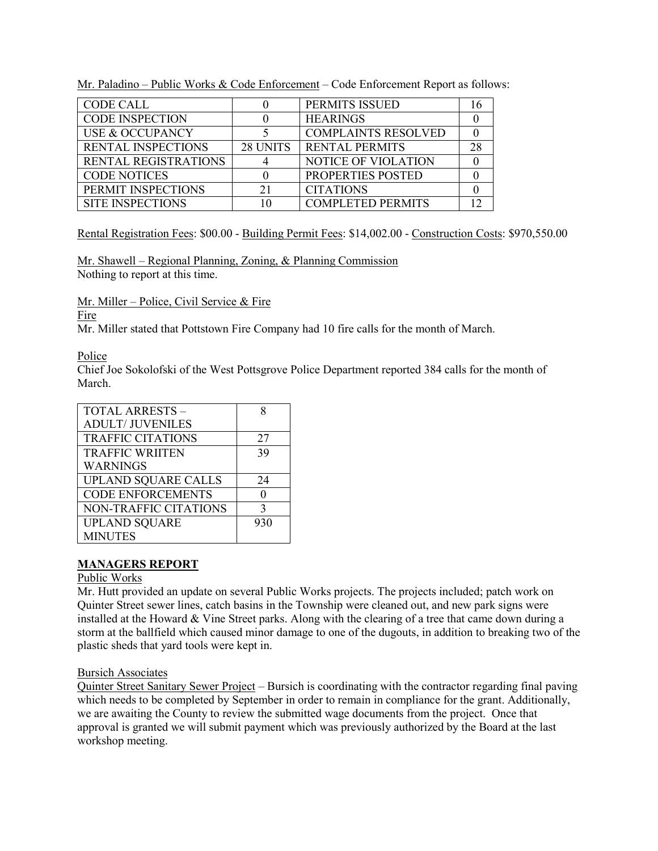Mr. Paladino – Public Works & Code Enforcement – Code Enforcement Report as follows:

| <b>CODE CALL</b>          |          | PERMITS ISSUED             |     |
|---------------------------|----------|----------------------------|-----|
| <b>CODE INSPECTION</b>    |          | <b>HEARINGS</b>            |     |
| USE & OCCUPANCY           |          | <b>COMPLAINTS RESOLVED</b> |     |
| <b>RENTAL INSPECTIONS</b> | 28 UNITS | <b>RENTAL PERMITS</b>      | 28. |
| RENTAL REGISTRATIONS      |          | <b>NOTICE OF VIOLATION</b> |     |
| <b>CODE NOTICES</b>       |          | <b>PROPERTIES POSTED</b>   |     |
| PERMIT INSPECTIONS        |          | <b>CITATIONS</b>           |     |
| <b>SITE INSPECTIONS</b>   |          | <b>COMPLETED PERMITS</b>   |     |

Rental Registration Fees: \$00.00 - Building Permit Fees: \$14,002.00 - Construction Costs: \$970,550.00

Mr. Shawell – Regional Planning, Zoning, & Planning Commission Nothing to report at this time.

Mr. Miller – Police, Civil Service & Fire

## Fire

Mr. Miller stated that Pottstown Fire Company had 10 fire calls for the month of March.

## Police

Chief Joe Sokolofski of the West Pottsgrove Police Department reported 384 calls for the month of March.

| TOTAL ARRESTS -            |              |
|----------------------------|--------------|
| <b>ADULT/ JUVENILES</b>    |              |
| <b>TRAFFIC CITATIONS</b>   | 27           |
| <b>TRAFFIC WRIITEN</b>     | 39           |
| <b>WARNINGS</b>            |              |
| <b>UPLAND SQUARE CALLS</b> | 24           |
| <b>CODE ENFORCEMENTS</b>   |              |
| NON-TRAFFIC CITATIONS      | $\mathbf{c}$ |
| <b>UPLAND SQUARE</b>       | 930          |
| <b>MINUTES</b>             |              |

## **MANAGERS REPORT**

### Public Works

Mr. Hutt provided an update on several Public Works projects. The projects included; patch work on Quinter Street sewer lines, catch basins in the Township were cleaned out, and new park signs were installed at the Howard & Vine Street parks. Along with the clearing of a tree that came down during a storm at the ballfield which caused minor damage to one of the dugouts, in addition to breaking two of the plastic sheds that yard tools were kept in.

### Bursich Associates

Quinter Street Sanitary Sewer Project – Bursich is coordinating with the contractor regarding final paving which needs to be completed by September in order to remain in compliance for the grant. Additionally, we are awaiting the County to review the submitted wage documents from the project. Once that approval is granted we will submit payment which was previously authorized by the Board at the last workshop meeting.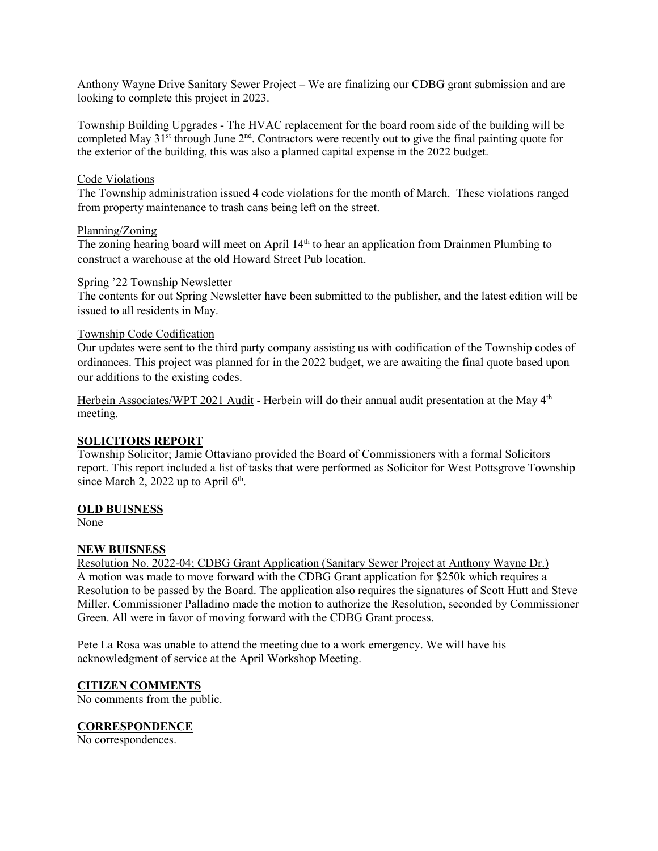Anthony Wayne Drive Sanitary Sewer Project – We are finalizing our CDBG grant submission and are looking to complete this project in 2023.

Township Building Upgrades - The HVAC replacement for the board room side of the building will be completed May  $31<sup>st</sup>$  through June  $2<sup>nd</sup>$ . Contractors were recently out to give the final painting quote for the exterior of the building, this was also a planned capital expense in the 2022 budget.

#### Code Violations

The Township administration issued 4 code violations for the month of March. These violations ranged from property maintenance to trash cans being left on the street.

#### Planning/Zoning

The zoning hearing board will meet on April 14<sup>th</sup> to hear an application from Drainmen Plumbing to construct a warehouse at the old Howard Street Pub location.

#### Spring '22 Township Newsletter

The contents for out Spring Newsletter have been submitted to the publisher, and the latest edition will be issued to all residents in May.

#### Township Code Codification

Our updates were sent to the third party company assisting us with codification of the Township codes of ordinances. This project was planned for in the 2022 budget, we are awaiting the final quote based upon our additions to the existing codes.

Herbein Associates/WPT 2021 Audit - Herbein will do their annual audit presentation at the May 4<sup>th</sup> meeting.

### **SOLICITORS REPORT**

Township Solicitor; Jamie Ottaviano provided the Board of Commissioners with a formal Solicitors report. This report included a list of tasks that were performed as Solicitor for West Pottsgrove Township since March 2, 2022 up to April  $6<sup>th</sup>$ .

### **OLD BUISNESS**

None

### **NEW BUISNESS**

Resolution No. 2022-04; CDBG Grant Application (Sanitary Sewer Project at Anthony Wayne Dr.) A motion was made to move forward with the CDBG Grant application for \$250k which requires a Resolution to be passed by the Board. The application also requires the signatures of Scott Hutt and Steve Miller. Commissioner Palladino made the motion to authorize the Resolution, seconded by Commissioner Green. All were in favor of moving forward with the CDBG Grant process.

Pete La Rosa was unable to attend the meeting due to a work emergency. We will have his acknowledgment of service at the April Workshop Meeting.

### **CITIZEN COMMENTS**

No comments from the public.

### **CORRESPONDENCE**

No correspondences.